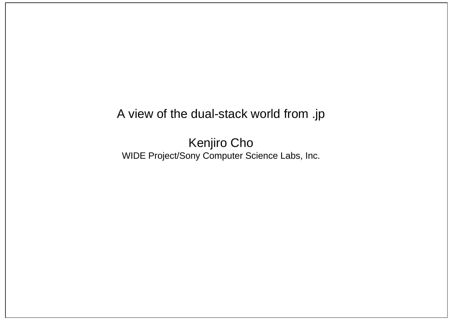#### A view of the dual-stack world from .jp

Kenjiro Cho WIDE Project/Sony Computer Science Labs, Inc.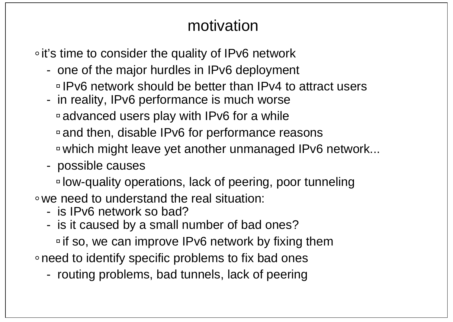# motivation

• it's time to consider the quality of IPv6 network

- one of the major hurdles in IPv6 deployment
	- IPv6 network should be better than IPv4 to attract users
- in reality, IPv6 performance is much worse
	- advanced users play with IPv6 for a while
	- and then, disable IPv6 for performance reasons
	- which might leave yet another unmanaged IPv6 network...
- possible causes

low-quality operations, lack of peering, poor tunneling we need to understand the real situation:

- is IPv6 network so bad?
- is it caused by a small number of bad ones?
- $\overline{P}$  if so, we can improve IPv6 network by fixing them
- need to identify specific problems to fix bad ones
	- routing problems, bad tunnels, lack of peering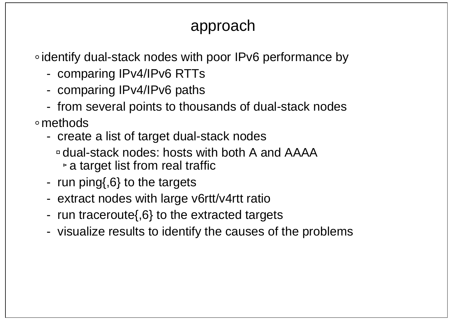# approach

∘identify dual-stack nodes with poor IPv6 performance by

- comparing IPv4/IPv6 RTTs
- comparing IPv4/IPv6 paths
- from several points to thousands of dual-stack nodes

methods

- create a list of target dual-stack nodes
	- dual-stack nodes: hosts with both A and AAAA $\triangleright$  a target list from real traffic
- run ping{,6} to the targets
- extract nodes with large v6rtt/v4rtt ratio
- run traceroute{,6} to the extracted targets
- visualize results to identify the causes of the problems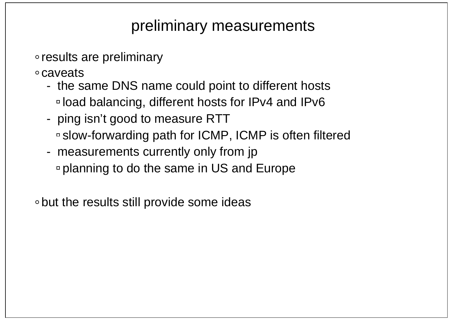# preliminary measurements

- results are preliminary
- caveats
	- the same DNS name could point to different hosts load balancing, different hosts for IPv4 and IPv6
	- ping isn't good to measure RTT slow-forwarding path for ICMP, ICMP is often filtered
	- measurements currently only from jp planning to do the same in US and Europe

but the results still provide some ideas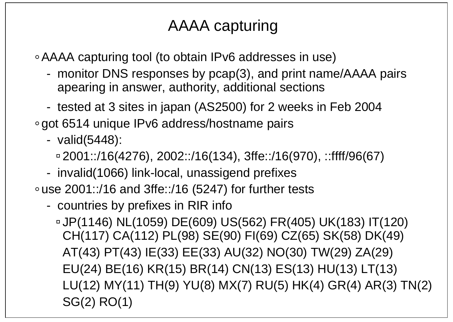# AAAA capturing

AAAA capturing tool (to obtain IPv6 addresses in use)

- monitor DNS responses by pcap(3), and print name/AAAA pairs apearing in answer, authority, additional sections
- tested at 3 sites in japan (AS2500) for 2 weeks in Feb 2004
- got 6514 unique IPv6 address/hostname pairs
	- valid(5448):
		- $\approx 2001$ ::/16(4276), 2002::/16(134), 3ffe::/16(970), ::ffff/96(67)
	- invalid(1066) link-local, unassigend prefixes

use 2001::/16 and 3ffe::/16 (5247) for further tests

- countries by prefixes in RIR info

JP(1146) NL(1059) DE(609) US(562) FR(405) UK(183) IT(120) CH(117) CA(112) PL(98) SE(90) FI(69) CZ(65) SK(58) DK(49) AT(43) PT(43) IE(33) EE(33) AU(32) NO(30) TW(29) ZA(29) EU(24) BE(16) KR(15) BR(14) CN(13) ES(13) HU(13) LT(13) LU(12) MY(11) TH(9) YU(8) MX(7) RU(5) HK(4) GR(4) AR(3) TN(2) SG(2) RO(1)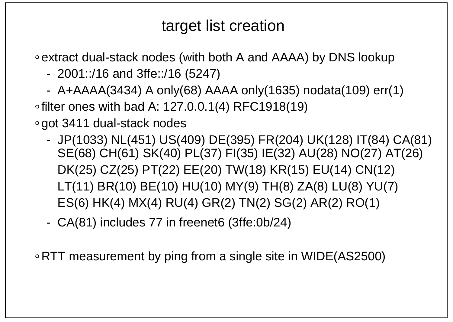# target list creation

extract dual-stack nodes (with both A and AAAA) by DNS lookup

- 2001::/16 and 3ffe::/16 (5247)
- A+AAAA(3434) A only(68) AAAA only(1635) nodata(109) err(1)

 $\circ$  filter ones with bad A: 127.0.0.1(4) RFC1918(19)

got 3411 dual-stack nodes

- JP(1033) NL(451) US(409) DE(395) FR(204) UK(128) IT(84) CA(81) SE(68) CH(61) SK(40) PL(37) FI(35) IE(32) AU(28) NO(27) AT(26) DK(25) CZ(25) PT(22) EE(20) TW(18) KR(15) EU(14) CN(12) LT(11) BR(10) BE(10) HU(10) MY(9) TH(8) ZA(8) LU(8) YU(7) ES(6) HK(4) MX(4) RU(4) GR(2) TN(2) SG(2) AR(2) RO(1)
- CA(81) includes 77 in freenet6 (3ffe:0b/24)

RTT measurement by ping from a single site in WIDE(AS2500)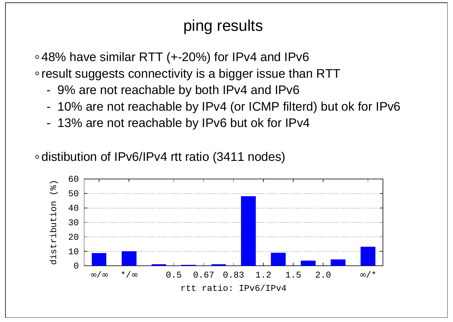# ping results

48% have similar RTT (+-20%) for IPv4 and IPv6

• result suggests connectivity is a bigger issue than RTT

- 9% are not reachable by both IPv4 and IPv6
- 10% are not reachable by IPv4 (or ICMP filterd) but ok for IPv6
- 13% are not reachable by IPv6 but ok for IPv4

∘ distibution of IPv6/IPv4 rtt ratio (3411 nodes)

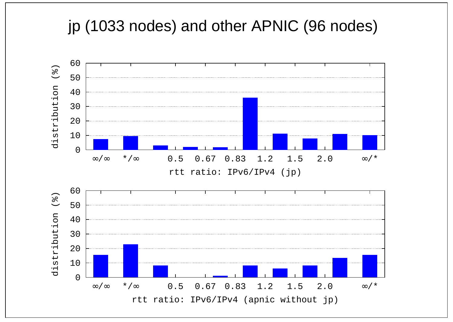# jp (1033 nodes) and other APNIC (96 nodes)

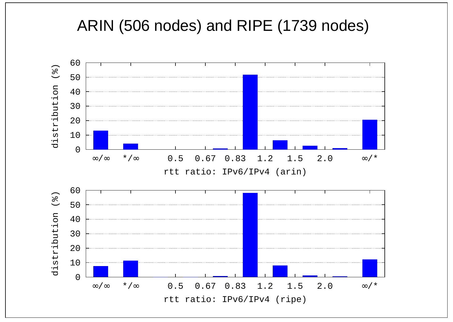### ARIN (506 nodes) and RIPE (1739 nodes)

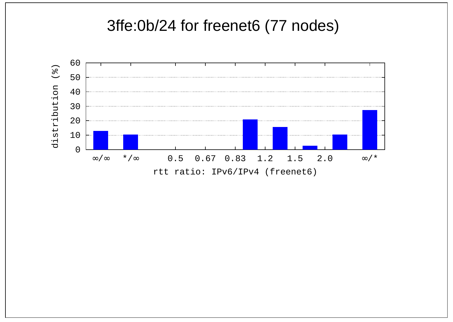### 3ffe:0b/24 for freenet6 (77 nodes)

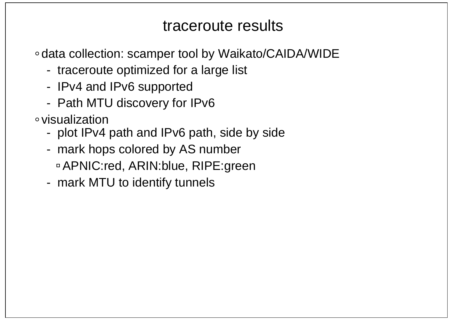### traceroute results

- data collection: scamper tool by Waikato/CAIDA/WIDE
	- traceroute optimized for a large list
	- IPv4 and IPv6 supported
	- Path MTU discovery for IPv6
- visualization
	- plot IPv4 path and IPv6 path, side by side
	- mark hops colored by AS number APNIC:red, ARIN:blue, RIPE:green
	- mark MTU to identify tunnels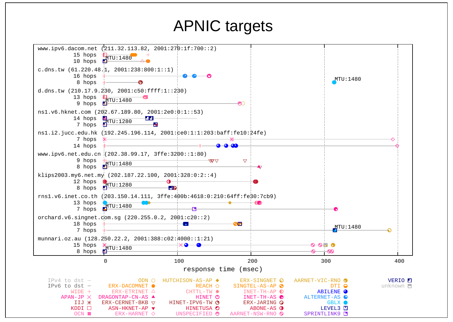### APNIC targets

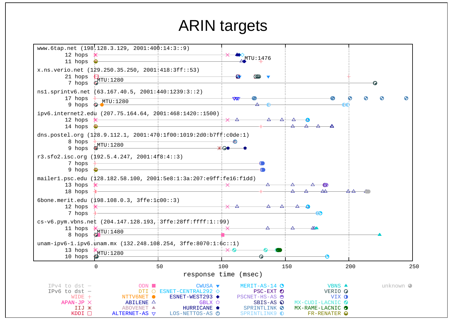### ARIN targets

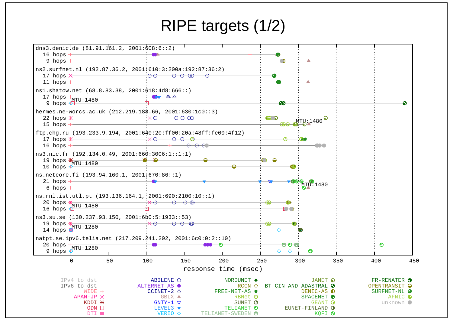### RIPE targets (1/2)

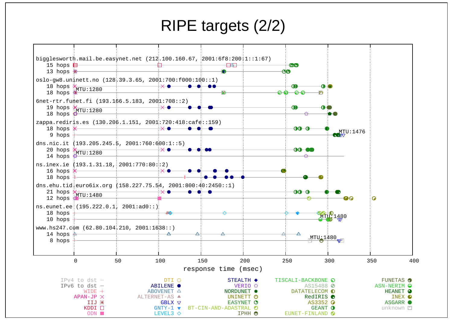### RIPE targets (2/2)

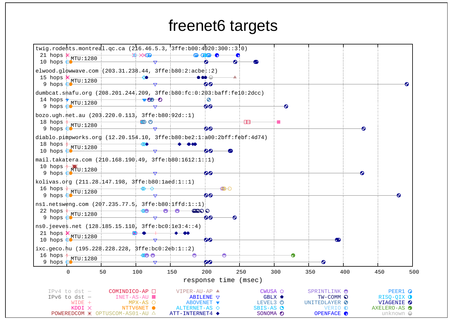### freenet6 targets